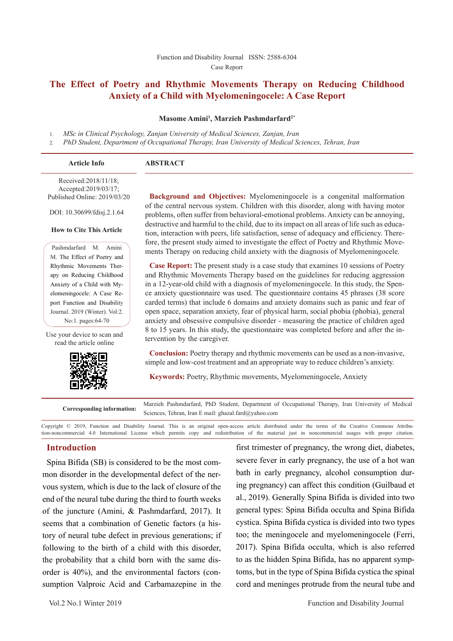# **The Effect of Poetry and Rhythmic Movements Therapy on Reducing Childhood Anxiety of a Child with Myelomeningocele: A Case Report**

#### **Masome Amini1 , Marzieh Pashmdarfard2\***

1. *MSc in Clinical Psychology, Zanjan University of Medical Sciences, Zanjan, Iran*

2. *PhD Student, Department of Occupational Therapy, Iran University of Medical Sciences, Tehran, Iran*

| <b>Article Info</b>                           | <b>ABSTRACT</b> |
|-----------------------------------------------|-----------------|
| Received:2018/11/18;<br>Accepted: 2019/03/17: |                 |

Accepted:2019/03/17; Published Online: 2019/03/20

DOI: 10.30699/fdisj.2.1.64

#### **How to Cite This Article**

Pashmdarfard M. Amini M. The Effect of Poetry and Rhythmic Movements Therapy on Reducing Childhood Anxiety of a Child with Myelomeningocele: A Case Report Function and Disability Journal. 2019 (Winter). Vol:2. No:1. pages:64-70

Use your device to scan and read the article online



**Background and Objectives:** Myelomeningocele is a congenital malformation of the central nervous system. Children with this disorder, along with having motor problems, often suffer from behavioral-emotional problems. Anxiety can be annoying, destructive and harmful to the child, due to its impact on all areas of life such as education, interaction with peers, life satisfaction, sense of adequacy and efficiency. Therefore, the present study aimed to investigate the effect of Poetry and Rhythmic Movements Therapy on reducing child anxiety with the diagnosis of Myelomeningocele.

**Case Report:** The present study is a case study that examines 10 sessions of Poetry and Rhythmic Movements Therapy based on the guidelines for reducing aggression in a 12-year-old child with a diagnosis of myelomeningocele. In this study, the Spence anxiety questionnaire was used. The questionnaire contains 45 phrases (38 score carded terms) that include 6 domains and anxiety domains such as panic and fear of open space, separation anxiety, fear of physical harm, social phobia (phobia), general anxiety and obsessive compulsive disorder - measuring the practice of children aged 8 to 15 years. In this study, the questionnaire was completed before and after the intervention by the caregiver.

**Conclusion:** Poetry therapy and rhythmic movements can be used as a non-invasive, simple and low-cost treatment and an appropriate way to reduce children's anxiety.

**Keywords:** Poetry, Rhythmic movements, Myelomeningocele, Anxiety

**Corresponding information:** Marzieh Pashmdarfard, PhD Student, Department of Occupational Therapy, Iran University of Medical Sciences, Tehran, Iran E mail: ghazal.fard@yahoo.com

Copyright © 2019, Function and Disability Journal. This is an original open-access article distributed under the terms of the Creative Commons Attribution-noncommercial 4.0 International License which permits copy and redistribution of the material just in noncommercial usages with proper citation.

#### **Introduction**

Spina Bifida (SB) is considered to be the most common disorder in the developmental defect of the nervous system, which is due to the lack of closure of the end of the neural tube during the third to fourth weeks of the juncture (Amini, & Pashmdarfard, 2017). It seems that a combination of Genetic factors (a history of neural tube defect in previous generations; if following to the birth of a child with this disorder, the probability that a child born with the same disorder is 40%), and the environmental factors (consumption Valproic Acid and Carbamazepine in the

first trimester of pregnancy, the wrong diet, diabetes, severe fever in early pregnancy, the use of a hot wan bath in early pregnancy, alcohol consumption during pregnancy) can affect this condition (Guilbaud et al., 2019). Generally Spina Bifida is divided into two general types: Spina Bifida occulta and Spina Bifida cystica. Spina Bifida cystica is divided into two types too; the meningocele and myelomeningocele (Ferri, 2017). Spina Bifida occulta, which is also referred to as the hidden Spina Bifida, has no apparent symptoms, but in the type of Spina Bifida cystica the spinal cord and meninges protrude from the neural tube and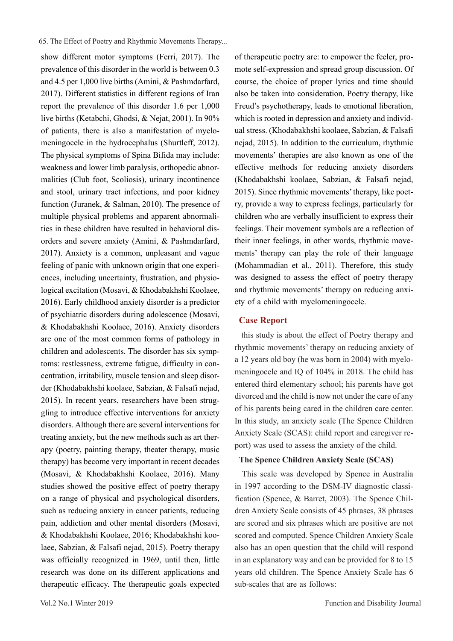show different motor symptoms (Ferri, 2017). The prevalence of this disorder in the world is between 0.3 and 4.5 per 1,000 live births (Amini, & Pashmdarfard, 2017). Different statistics in different regions of Iran report the prevalence of this disorder 1.6 per 1,000 live births (Ketabchi, Ghodsi, & Nejat, 2001). In 90% of patients, there is also a manifestation of myelomeningocele in the hydrocephalus (Shurtleff, 2012). The physical symptoms of Spina Bifida may include: weakness and lower limb paralysis, orthopedic abnormalities (Club foot, Scoliosis), urinary incontinence and stool, urinary tract infections, and poor kidney function (Juranek, & Salman, 2010). The presence of multiple physical problems and apparent abnormalities in these children have resulted in behavioral disorders and severe anxiety (Amini, & Pashmdarfard, 2017). Anxiety is a common, unpleasant and vague feeling of panic with unknown origin that one experiences, including uncertainty, frustration, and physiological excitation (Mosavi, & Khodabakhshi Koolaee, 2016). Early childhood anxiety disorder is a predictor of psychiatric disorders during adolescence (Mosavi, & Khodabakhshi Koolaee, 2016). Anxiety disorders are one of the most common forms of pathology in children and adolescents. The disorder has six symptoms: restlessness, extreme fatigue, difficulty in concentration, irritability, muscle tension and sleep disorder (Khodabakhshi koolaee, Sabzian, & Falsafi nejad, 2015). In recent years, researchers have been struggling to introduce effective interventions for anxiety disorders. Although there are several interventions for treating anxiety, but the new methods such as art therapy (poetry, painting therapy, theater therapy, music therapy) has become very important in recent decades (Mosavi, & Khodabakhshi Koolaee, 2016). Many studies showed the positive effect of poetry therapy on a range of physical and psychological disorders, such as reducing anxiety in cancer patients, reducing pain, addiction and other mental disorders (Mosavi, & Khodabakhshi Koolaee, 2016; Khodabakhshi koolaee, Sabzian, & Falsafi nejad, 2015). Poetry therapy was officially recognized in 1969, until then, little research was done on its different applications and therapeutic efficacy. The therapeutic goals expected

of therapeutic poetry are: to empower the feeler, promote self-expression and spread group discussion. Of course, the choice of proper lyrics and time should also be taken into consideration. Poetry therapy, like Freud's psychotherapy, leads to emotional liberation, which is rooted in depression and anxiety and individual stress. (Khodabakhshi koolaee, Sabzian, & Falsafi nejad, 2015). In addition to the curriculum, rhythmic movements' therapies are also known as one of the effective methods for reducing anxiety disorders (Khodabakhshi koolaee, Sabzian, & Falsafi nejad, 2015). Since rhythmic movements' therapy, like poetry, provide a way to express feelings, particularly for children who are verbally insufficient to express their feelings. Their movement symbols are a reflection of their inner feelings, in other words, rhythmic movements' therapy can play the role of their language (Mohammadian et al., 2011). Therefore, this study was designed to assess the effect of poetry therapy and rhythmic movements' therapy on reducing anxiety of a child with myelomeningocele.

# **Case Report**

 this study is about the effect of Poetry therapy and rhythmic movements' therapy on reducing anxiety of a 12 years old boy (he was born in 2004) with myelomeningocele and IQ of 104% in 2018. The child has entered third elementary school; his parents have got divorced and the child is now not under the care of any of his parents being cared in the children care center. In this study, an anxiety scale (The Spence Children Anxiety Scale (SCAS): child report and caregiver report) was used to assess the anxiety of the child.

#### **The Spence Children Anxiety Scale (SCAS)**

 This scale was developed by Spence in Australia in 1997 according to the DSM-IV diagnostic classification (Spence, & Barret, 2003). The Spence Children Anxiety Scale consists of 45 phrases, 38 phrases are scored and six phrases which are positive are not scored and computed. Spence Children Anxiety Scale also has an open question that the child will respond in an explanatory way and can be provided for 8 to 15 years old children. The Spence Anxiety Scale has 6 sub-scales that are as follows: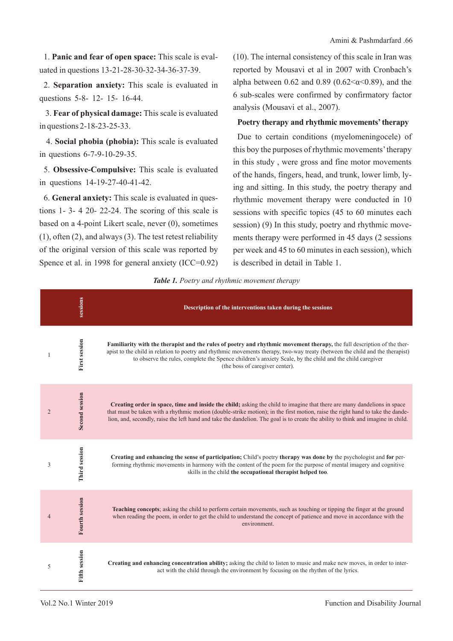1. **Panic and fear of open space:** This scale is evaluated in questions 13-21-28-30-32-34-36-37-39.

2. **Separation anxiety:** This scale is evaluated in questions 5-8- 12- 15- 16-44.

 3. **Fear of physical damage:** This scale is evaluated in questions 2-18-23-25-33.

 4. **Social phobia (phobia):** This scale is evaluated in questions 6-7-9-10-29-35.

5. **Obsessive-Compulsive:** This scale is evaluated in questions 14-19-27-40-41-42.

6. **General anxiety:** This scale is evaluated in questions 1- 3- 4 20- 22-24. The scoring of this scale is based on a 4-point Likert scale, never (0), sometimes (1), often (2), and always (3). The test retest reliability of the original version of this scale was reported by Spence et al. in 1998 for general anxiety (ICC=0.92) (10). The internal consistency of this scale in Iran was reported by Mousavi et al in 2007 with Cronbach's alpha between 0.62 and 0.89 (0.62 \le \times\) condition the dpha between 0.62 and 0.89 (0.62 \le \times\). 6 sub-scales were confirmed by confirmatory factor analysis (Mousavi et al., 2007).

# **Poetry therapy and rhythmic movements' therapy**

Due to certain conditions (myelomeningocele) of this boy the purposes of rhythmic movements' therapy in this study , were gross and fine motor movements of the hands, fingers, head, and trunk, lower limb, lying and sitting. In this study, the poetry therapy and rhythmic movement therapy were conducted in 10 sessions with specific topics (45 to 60 minutes each session) (9) In this study, poetry and rhythmic movements therapy were performed in 45 days (2 sessions per week and 45 to 60 minutes in each session), which is described in detail in Table 1.

| Table 1. Poetry and rhythmic movement therapy |  |
|-----------------------------------------------|--|
|-----------------------------------------------|--|

|                | sessions              | Description of the interventions taken during the sessions                                                                                                                                                                                                                                                                                                                                              |
|----------------|-----------------------|---------------------------------------------------------------------------------------------------------------------------------------------------------------------------------------------------------------------------------------------------------------------------------------------------------------------------------------------------------------------------------------------------------|
| 1              | <b>First session</b>  | Familiarity with the therapist and the rules of poetry and rhythmic movement therapy, the full description of the ther-<br>apist to the child in relation to poetry and rhythmic movements therapy, two-way treaty (between the child and the therapist)<br>to observe the rules, complete the Spence children's anxiety Scale, by the child and the child caregiver<br>(the boss of caregiver center). |
| $\overline{2}$ | <b>Second session</b> | Creating order in space, time and inside the child; asking the child to imagine that there are many dandelions in space<br>that must be taken with a rhythmic motion (double-strike motion); in the first motion, raise the right hand to take the dande-<br>lion, and, secondly, raise the left hand and take the dandelion. The goal is to create the ability to think and imagine in child.          |
| 3              | Third session         | Creating and enhancing the sense of participation; Child's poetry therapy was done by the psychologist and for per-<br>forming rhythmic movements in harmony with the content of the poem for the purpose of mental imagery and cognitive<br>skills in the child the occupational therapist helped too.                                                                                                 |
| 4              | <b>Fourth session</b> | Teaching concepts; asking the child to perform certain movements, such as touching or tipping the finger at the ground<br>when reading the poem, in order to get the child to understand the concept of patience and move in accordance with the<br>environment.                                                                                                                                        |
| 5              | <b>Fifth session</b>  | Creating and enhancing concentration ability; asking the child to listen to music and make new moves, in order to inter-<br>act with the child through the environment by focusing on the rhythm of the lyrics.                                                                                                                                                                                         |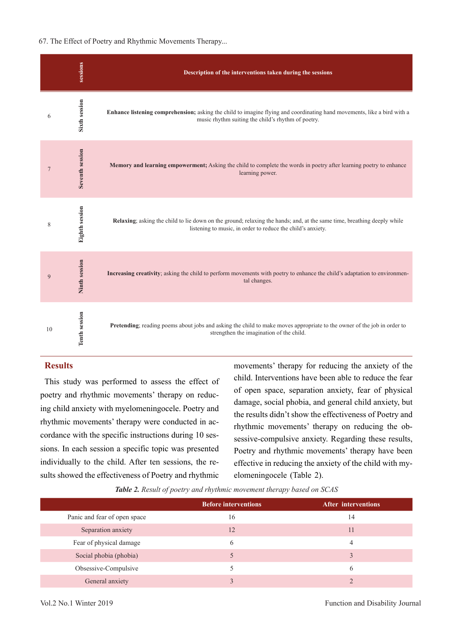#### 67. The Effect of Poetry and Rhythmic Movements Therapy...

|                | sessions              | Description of the interventions taken during the sessions                                                                                                                             |
|----------------|-----------------------|----------------------------------------------------------------------------------------------------------------------------------------------------------------------------------------|
| 6              | <b>Sixth session</b>  | Enhance listening comprehension; asking the child to imagine flying and coordinating hand movements, like a bird with a<br>music rhythm suiting the child's rhythm of poetry.          |
| $\overline{7}$ | Seventh session       | Memory and learning empowerment; Asking the child to complete the words in poetry after learning poetry to enhance<br>learning power.                                                  |
| 8              | <b>Eighth session</b> | Relaxing; asking the child to lie down on the ground; relaxing the hands; and, at the same time, breathing deeply while<br>listening to music, in order to reduce the child's anxiety. |
| 9              | <b>Ninth session</b>  | Increasing creativity; asking the child to perform movements with poetry to enhance the child's adaptation to environmen-<br>tal changes.                                              |
| 10             | <b>Tenth session</b>  | Pretending; reading poems about jobs and asking the child to make moves appropriate to the owner of the job in order to<br>strengthen the imagination of the child.                    |

# **Results**

This study was performed to assess the effect of poetry and rhythmic movements' therapy on reducing child anxiety with myelomeningocele. Poetry and rhythmic movements' therapy were conducted in accordance with the specific instructions during 10 sessions. In each session a specific topic was presented individually to the child. After ten sessions, the results showed the effectiveness of Poetry and rhythmic

movements' therapy for reducing the anxiety of the child. Interventions have been able to reduce the fear of open space, separation anxiety, fear of physical damage, social phobia, and general child anxiety, but the results didn't show the effectiveness of Poetry and rhythmic movements' therapy on reducing the obsessive-compulsive anxiety. Regarding these results, Poetry and rhythmic movements' therapy have been effective in reducing the anxiety of the child with myelomeningocele (Table 2).

*Table 2. Result of poetry and rhythmic movement therapy based on SCAS*

|                              | <b>Before interventions</b> | <b>After interventions</b> |
|------------------------------|-----------------------------|----------------------------|
| Panic and fear of open space | 16                          | 14                         |
| Separation anxiety           | 12                          | 11                         |
| Fear of physical damage      | 6                           |                            |
| Social phobia (phobia)       |                             |                            |
| Obsessive-Compulsive         |                             | h                          |
| General anxiety              |                             |                            |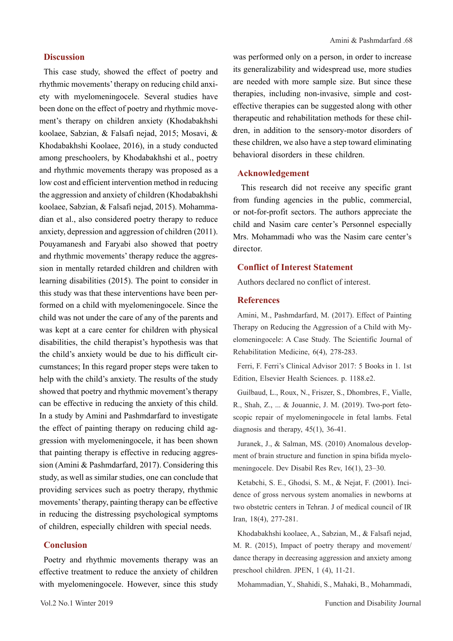# **Discussion**

This case study, showed the effect of poetry and rhythmic movements' therapy on reducing child anxiety with myelomeningocele. Several studies have been done on the effect of poetry and rhythmic movement's therapy on children anxiety (Khodabakhshi koolaee, Sabzian, & Falsafi nejad, 2015; Mosavi, & Khodabakhshi Koolaee, 2016), in a study conducted among preschoolers, by Khodabakhshi et al., poetry and rhythmic movements therapy was proposed as a low cost and efficient intervention method in reducing the aggression and anxiety of children (Khodabakhshi koolaee, Sabzian, & Falsafi nejad, 2015). Mohammadian et al., also considered poetry therapy to reduce anxiety, depression and aggression of children (2011). Pouyamanesh and Faryabi also showed that poetry and rhythmic movements' therapy reduce the aggression in mentally retarded children and children with learning disabilities (2015). The point to consider in this study was that these interventions have been performed on a child with myelomeningocele. Since the child was not under the care of any of the parents and was kept at a care center for children with physical disabilities, the child therapist's hypothesis was that the child's anxiety would be due to his difficult circumstances; In this regard proper steps were taken to help with the child's anxiety. The results of the study showed that poetry and rhythmic movement's therapy can be effective in reducing the anxiety of this child. In a study by Amini and Pashmdarfard to investigate the effect of painting therapy on reducing child aggression with myelomeningocele, it has been shown that painting therapy is effective in reducing aggression (Amini & Pashmdarfard, 2017). Considering this study, as well as similar studies, one can conclude that providing services such as poetry therapy, rhythmic movements' therapy, painting therapy can be effective in reducing the distressing psychological symptoms of children, especially children with special needs.

# **Conclusion**

Poetry and rhythmic movements therapy was an effective treatment to reduce the anxiety of children with myelomeningocele. However, since this study was performed only on a person, in order to increase its generalizability and widespread use, more studies are needed with more sample size. But since these therapies, including non-invasive, simple and costeffective therapies can be suggested along with other therapeutic and rehabilitation methods for these children, in addition to the sensory-motor disorders of these children, we also have a step toward eliminating behavioral disorders in these children.

### **Acknowledgement**

 This research did not receive any specific grant from funding agencies in the public, commercial, or not-for-profit sectors. The authors appreciate the child and Nasim care center's Personnel especially Mrs. Mohammadi who was the Nasim care center's director.

## **Conflict of Interest Statement**

Authors declared no conflict of interest.

## **References**

Amini, M., Pashmdarfard, M. (2017). Effect of Painting Therapy on Reducing the Aggression of a Child with Myelomeningocele: A Case Study. The Scientific Journal of Rehabilitation Medicine, 6(4), 278-283.

Ferri, F. Ferri's Clinical Advisor 2017: 5 Books in 1. 1st Edition, Elsevier Health Sciences. p. 1188.e2.

Guilbaud, L., Roux, N., Friszer, S., Dhombres, F., Vialle, R., Shah, Z., ... & Jouannic, J. M. (2019). Two-port fetoscopic repair of myelomeningocele in fetal lambs. Fetal diagnosis and therapy, 45(1), 36-41.

Juranek, J., & Salman, MS. (2010) Anomalous development of brain structure and function in spina bifida myelomeningocele. Dev Disabil Res Rev, 16(1), 23–30.

Ketabchi, S. E., Ghodsi, S. M., & Nejat, F. (2001). Incidence of gross nervous system anomalies in newborns at two obstetric centers in Tehran. J of medical council of IR Iran, 18(4), 277-281.

Khodabakhshi koolaee, A., Sabzian, M., & Falsafi nejad, M. R. (2015), Impact of poetry therapy and movement/ dance therapy in decreasing aggression and anxiety among preschool children. JPEN, 1 (4), 11-21.

Mohammadian, Y., Shahidi, S., Mahaki, B., Mohammadi,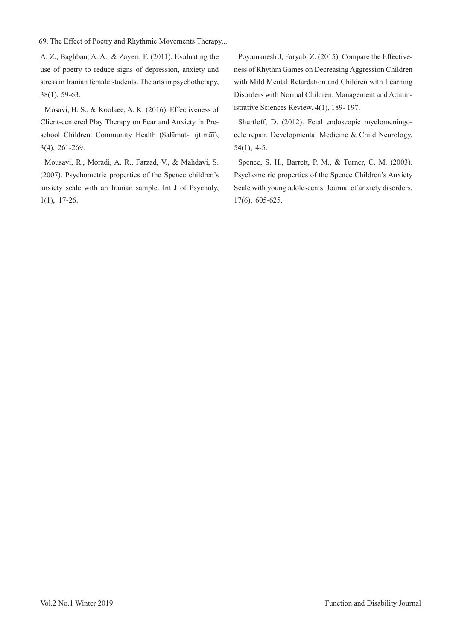69. The Effect of Poetry and Rhythmic Movements Therapy...

A. Z., Baghban, A. A., & Zayeri, F. (2011). Evaluating the use of poetry to reduce signs of depression, anxiety and stress in Iranian female students. The arts in psychotherapy, 38(1), 59-63.

Mosavi, H. S., & Koolaee, A. K. (2016). Effectiveness of Client-centered Play Therapy on Fear and Anxiety in Preschool Children. Community Health (Salāmat-i ijtimāī), 3(4), 261-269.

Mousavi, R., Moradi, A. R., Farzad, V., & Mahdavi, S. (2007). Psychometric properties of the Spence children's anxiety scale with an Iranian sample. Int J of Psycholy, 1(1), 17-26.

Poyamanesh J, Faryabi Z. (2015). Compare the Effectiveness of Rhythm Games on Decreasing Aggression Children with Mild Mental Retardation and Children with Learning Disorders with Normal Children. Management and Administrative Sciences Review. 4(1), 189- 197.

Shurtleff, D. (2012). Fetal endoscopic myelomeningocele repair. Developmental Medicine & Child Neurology, 54(1), 4-5.

Spence, S. H., Barrett, P. M., & Turner, C. M. (2003). Psychometric properties of the Spence Children's Anxiety Scale with young adolescents. Journal of anxiety disorders, 17(6), 605-625.